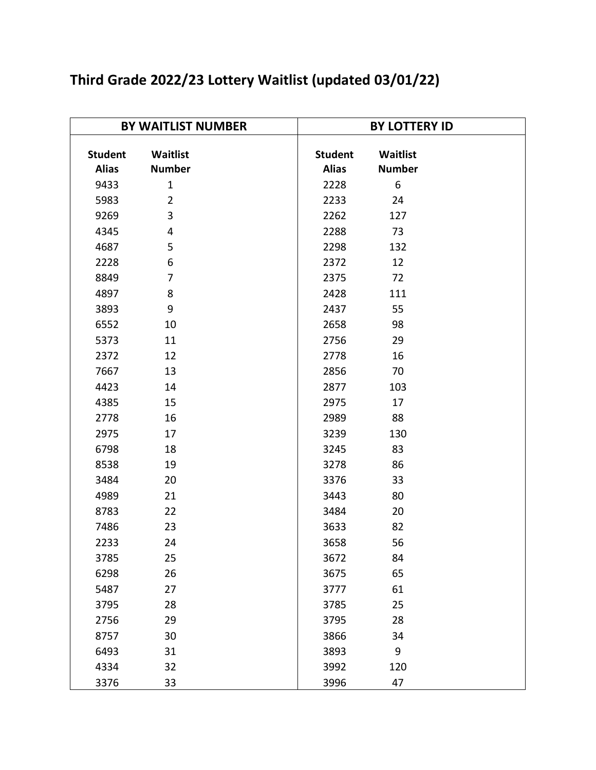| <b>BY WAITLIST NUMBER</b> |                |      | <b>BY LOTTERY ID</b> |               |  |  |
|---------------------------|----------------|------|----------------------|---------------|--|--|
| <b>Student</b>            | Waitlist       |      | <b>Student</b>       | Waitlist      |  |  |
| <b>Alias</b>              | <b>Number</b>  |      | <b>Alias</b>         | <b>Number</b> |  |  |
| 9433                      | $\mathbf{1}$   | 2228 |                      | 6             |  |  |
| 5983                      | $\overline{2}$ | 2233 |                      | 24            |  |  |
| 9269                      | 3              | 2262 |                      | 127           |  |  |
| 4345                      | $\overline{4}$ | 2288 |                      | 73            |  |  |
| 4687                      | 5              | 2298 |                      | 132           |  |  |
| 2228                      | 6              | 2372 |                      | 12            |  |  |
| 8849                      | $\overline{7}$ | 2375 |                      | 72            |  |  |
| 4897                      | 8              | 2428 |                      | 111           |  |  |
| 3893                      | 9              | 2437 |                      | 55            |  |  |
| 6552                      | 10             | 2658 |                      | 98            |  |  |
| 5373                      | 11             | 2756 |                      | 29            |  |  |
| 2372                      | 12             | 2778 |                      | 16            |  |  |
| 7667                      | 13             | 2856 |                      | 70            |  |  |
| 4423                      | 14             | 2877 |                      | 103           |  |  |
| 4385                      | 15             | 2975 |                      | 17            |  |  |
| 2778                      | 16             | 2989 |                      | 88            |  |  |
| 2975                      | 17             | 3239 |                      | 130           |  |  |
| 6798                      | 18             | 3245 |                      | 83            |  |  |
| 8538                      | 19             | 3278 |                      | 86            |  |  |
| 3484                      | 20             | 3376 |                      | 33            |  |  |
| 4989                      | 21             | 3443 |                      | 80            |  |  |
| 8783                      | 22             | 3484 |                      | 20            |  |  |
| 7486                      | 23             | 3633 |                      | 82            |  |  |
| 2233                      | 24             | 3658 |                      | 56            |  |  |
| 3785                      | 25             | 3672 |                      | 84            |  |  |
| 6298                      | 26             | 3675 |                      | 65            |  |  |
| 5487                      | 27             | 3777 |                      | 61            |  |  |
| 3795                      | 28             | 3785 |                      | 25            |  |  |
| 2756                      | 29             | 3795 |                      | 28            |  |  |
| 8757                      | 30             | 3866 |                      | 34            |  |  |
| 6493                      | 31             | 3893 |                      | 9             |  |  |
| 4334                      | 32             | 3992 |                      | 120           |  |  |
| 3376                      | 33             | 3996 |                      | 47            |  |  |

## **Third Grade 2022/23 Lottery Waitlist (updated 03/01/22)**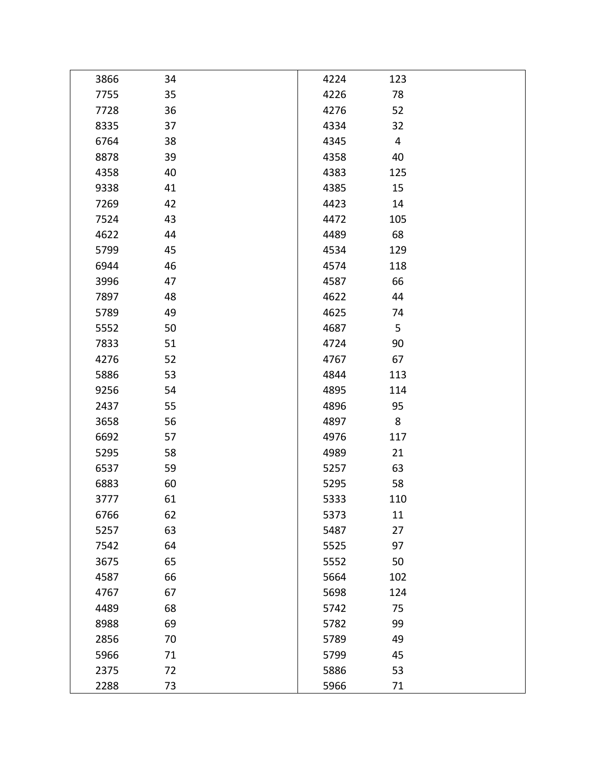| 3866 | 34 | 4224 | 123 |  |
|------|----|------|-----|--|
| 7755 | 35 | 4226 | 78  |  |
| 7728 | 36 | 4276 | 52  |  |
| 8335 | 37 | 4334 | 32  |  |
| 6764 | 38 | 4345 | 4   |  |
| 8878 | 39 | 4358 | 40  |  |
| 4358 | 40 | 4383 | 125 |  |
| 9338 | 41 | 4385 | 15  |  |
| 7269 | 42 | 4423 | 14  |  |
| 7524 | 43 | 4472 | 105 |  |
| 4622 | 44 | 4489 | 68  |  |
| 5799 | 45 | 4534 | 129 |  |
| 6944 | 46 | 4574 | 118 |  |
| 3996 | 47 | 4587 | 66  |  |
| 7897 | 48 | 4622 | 44  |  |
| 5789 | 49 | 4625 | 74  |  |
| 5552 | 50 | 4687 | 5   |  |
| 7833 | 51 | 4724 | 90  |  |
| 4276 | 52 | 4767 | 67  |  |
| 5886 | 53 | 4844 | 113 |  |
| 9256 | 54 | 4895 | 114 |  |
| 2437 | 55 | 4896 | 95  |  |
| 3658 | 56 | 4897 | 8   |  |
| 6692 | 57 | 4976 | 117 |  |
| 5295 | 58 | 4989 | 21  |  |
| 6537 | 59 | 5257 | 63  |  |
| 6883 | 60 | 5295 | 58  |  |
| 3777 | 61 | 5333 | 110 |  |
| 6766 | 62 | 5373 | 11  |  |
| 5257 | 63 | 5487 | 27  |  |
| 7542 | 64 | 5525 | 97  |  |
| 3675 | 65 | 5552 | 50  |  |
| 4587 | 66 | 5664 | 102 |  |
| 4767 | 67 | 5698 | 124 |  |
| 4489 | 68 | 5742 | 75  |  |
| 8988 | 69 | 5782 | 99  |  |
| 2856 | 70 | 5789 | 49  |  |
| 5966 | 71 | 5799 | 45  |  |
| 2375 | 72 | 5886 | 53  |  |
| 2288 | 73 | 5966 | 71  |  |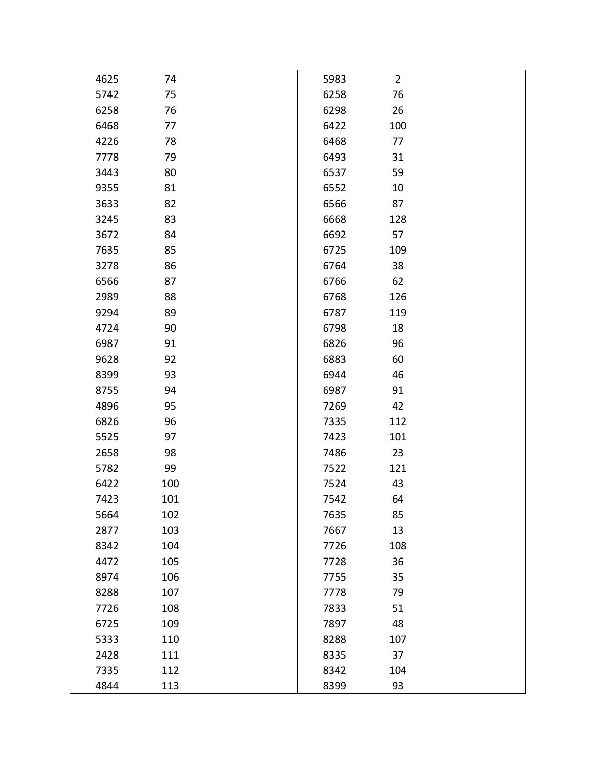| 4625 | 74  | 5983 | $\overline{2}$ |  |
|------|-----|------|----------------|--|
| 5742 | 75  | 6258 | 76             |  |
| 6258 | 76  | 6298 | 26             |  |
| 6468 | 77  | 6422 | 100            |  |
| 4226 | 78  | 6468 | 77             |  |
| 7778 | 79  | 6493 | 31             |  |
| 3443 | 80  | 6537 | 59             |  |
| 9355 | 81  | 6552 | 10             |  |
| 3633 | 82  | 6566 | 87             |  |
| 3245 | 83  | 6668 | 128            |  |
| 3672 | 84  | 6692 | 57             |  |
| 7635 | 85  | 6725 | 109            |  |
| 3278 | 86  | 6764 | 38             |  |
| 6566 | 87  | 6766 | 62             |  |
| 2989 | 88  | 6768 | 126            |  |
| 9294 | 89  | 6787 | 119            |  |
| 4724 | 90  | 6798 | 18             |  |
| 6987 | 91  | 6826 | 96             |  |
| 9628 | 92  | 6883 | 60             |  |
| 8399 | 93  | 6944 | 46             |  |
| 8755 | 94  | 6987 | 91             |  |
| 4896 | 95  | 7269 | 42             |  |
| 6826 | 96  | 7335 | 112            |  |
| 5525 | 97  | 7423 | 101            |  |
| 2658 | 98  | 7486 | 23             |  |
| 5782 | 99  | 7522 | 121            |  |
| 6422 | 100 | 7524 | 43             |  |
| 7423 | 101 | 7542 | 64             |  |
| 5664 | 102 | 7635 | 85             |  |
| 2877 | 103 | 7667 | 13             |  |
| 8342 | 104 | 7726 | 108            |  |
| 4472 | 105 | 7728 | 36             |  |
| 8974 | 106 | 7755 | 35             |  |
| 8288 | 107 | 7778 | 79             |  |
| 7726 | 108 | 7833 | 51             |  |
| 6725 | 109 | 7897 | 48             |  |
| 5333 | 110 | 8288 | 107            |  |
| 2428 | 111 | 8335 | 37             |  |
| 7335 | 112 | 8342 | 104            |  |
| 4844 | 113 | 8399 | 93             |  |